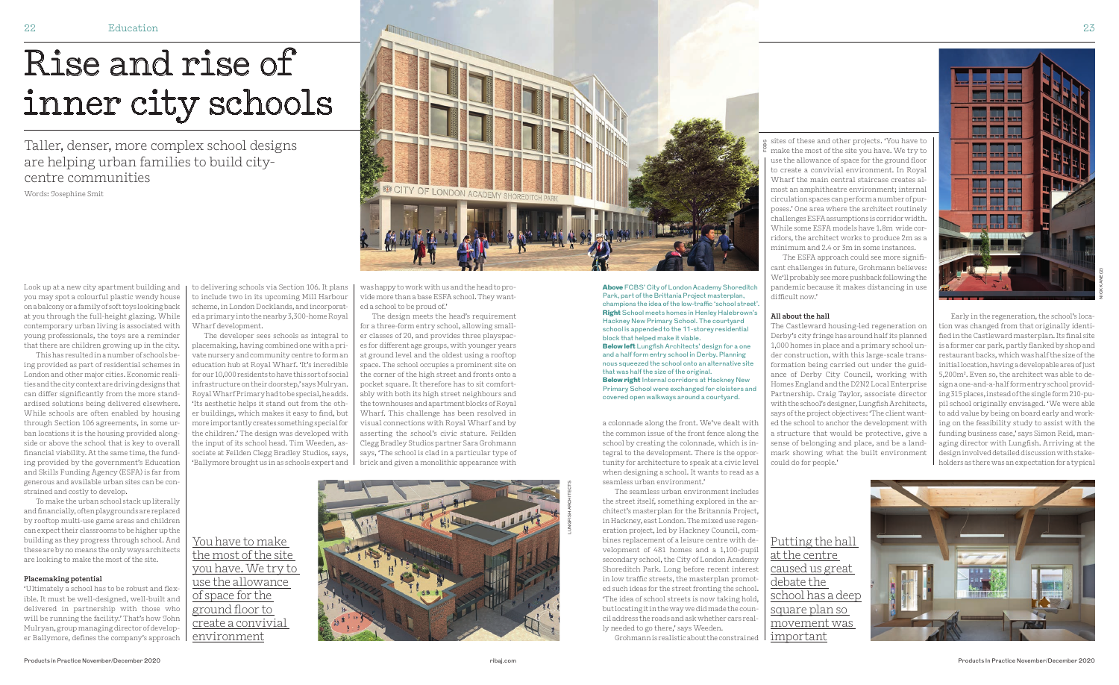Look up at a new city apartment building and you may spot a colourful plastic wendy house on a balcony or a family of soft toys looking back at you through the full-height glazing. While contemporary urban living is associated with young professionals, the toys are a reminder that there are children growing up in the city.

This has resulted in a number of schools being provided as part of residential schemes in London and other major cities. Economic realities and the city context are driving designs that can differ significantly from the more standardised solutions being delivered elsewhere. While schools are often enabled by housing through Section 106 agreements, in some urban locations it is the housing provided alongside or above the school that is key to overall financial viability. At the same time, the funding provided by the government's Education and Skills Funding Agency (ESFA) is far from generous and available urban sites can be constrained and costly to develop.

To make the urban school stack up literally and financially, often playgrounds are replaced by rooftop multi-use game areas and children can expect their classrooms to be higher up the building as they progress through school. And these are by no means the only ways architects are looking to make the most of the site.

## **Placemaking potential**

'Ultimately a school has to be robust and flexible. It must be well-designed, well-built and delivered in partnership with those who will be running the facility.' That's how John Mulryan, group managing director of developer Ballymore, defines the company's approach to delivering schools via Section 106. It plans to include two in its upcoming Mill Harbour scheme, in London Docklands, and incorporated a primary into the nearby 3,300-home Royal Wharf development.

The developer sees schools as integral to placemaking, having combined one with a private nursery and community centre to form an education hub at Royal Wharf. 'It's incredible for our 10,000 residents to have this sort of social infrastructure on their doorstep,' says Mulryan. Royal Wharf Primary had to be special, he adds. 'Its aesthetic helps it stand out from the other buildings, which makes it easy to find, but more importantly creates something special for the children.' The design was developed with the input of its school head. Tim Weeden, associate at Feilden Clegg Bradley Studios, says, 'Ballymore brought us in as schools expert and was happy to work with us and the head to provide more than a base ESFA school. They wanted a school to be proud of.'

The design meets the head's requirement for a three-form entry school, allowing smaller classes of 20, and provides three playspaces for different age groups, with younger years at ground level and the oldest using a rooftop space. The school occupies a prominent site on the corner of the high street and fronts onto a pocket square. It therefore has to sit comfortably with both its high street neighbours and the townhouses and apartment blocks of Royal Wharf. This challenge has been resolved in visual connections with Royal Wharf and by asserting the school's civic stature. Feilden Clegg Bradley Studios partner Sara Grohmann says, 'The school is clad in a particular type of brick and given a monolithic appearance with

Taller, denser, more complex school designs are helping urban families to build citycentre communities

Words: Josephine Smit

You have to make the most of the site you have. We try to use the allowance of space for the ground floor to create a convivial environment

## Rise and rise of inner city schools



a colonnade along the front. We've dealt with the common issue of the front fence along the school by creating the colonnade, which is integral to the development. There is the opportunity for architecture to speak at a civic level when designing a school. It wants to read as a seamless urban environment.'

The seamless urban environment includes the street itself, something explored in the architect's masterplan for the Britannia Project, in Hackney, east London. The mixed use regeneration project, led by Hackney Council, combines replacement of a leisure centre with development of 481 homes and a 1,100-pupil secondary school, the City of London Academy Shoreditch Park. Long before recent interest in low traffic streets, the masterplan promoted such ideas for the street fronting the school. 'The idea of school streets is now taking hold, but locating it in the way we did made the council address the roads and ask whether cars really needed to go there,' says Weeden.

Grohmann is realistic about the constrained

sites of these and other projects. 'You have to make the most of the site you have. We try to use the allowance of space for the ground floor to create a convivial environment. In Royal Wharf the main central staircase creates almost an amphitheatre environment; internal circulation spaces can perform a number of purposes.' One area where the architect routinely challenges ESFA assumptions is corridor width. While some ESFA models have 1.8m wide corridors, the architect works to produce 2m as a minimum and 2.4 or 3m in some instances.

The ESFA approach could see more significant challenges in future, Grohmann believes: We'll probably see more pushback following the pandemic because it makes distancing in use difficult now.'

## **All about the hall**

The Castleward housing-led regeneration on Derby's city fringe has around half its planned 1,000 homes in place and a primary school under construction, with this large-scale transformation being carried out under the guidance of Derby City Council, working with Homes England and the D2N2 Local Enterprise Partnership. Craig Taylor, associate director with the school's designer, Lungfish Architects, says of the project objectives: 'The client wanted the school to anchor the development with a structure that would be protective, give a sense of belonging and place, and be a landmark showing what the built environment could do for people.'

Early in the regeneration, the school's location was changed from that originally identi fied in the Castleward masterplan. Its final site is a former car park, partly flanked by shop and restaurant backs, which was half the size of the initial location, having a developable area of just 5,200m². Even so, the architect was able to design a one-and-a-half form entry school providing 315 places, instead of the single form 210-pupil school originally envisaged. 'We were able to add value by being on board early and work-

ing on the feasibility study to assist with the funding business case,' says Simon Reid, managing director with Lungfish. Arriving at the design involved detailed discussion with stakeholders as there was an expectation for a typical

Above FCBS' City of London Academy Shoreditch Park, part of the Brittania Project masterplan, champions the idea of the low-traffic 'school street'. Right School meets homes in Henley Halebrown's Hackney New Primary School. The courtyard school is appended to the 11-storey residential block that helped make it viable. Below left Lungfish Architects' design for a one and a half form entry school in Derby. Planning nous squeezed the school onto an alternative site that was half the size of the original. Below right Internal corridors at Hackney New Primary School were exchanged for cloisters and covered open walkways around a courtyard.

> Putting the hall at the centre caused us great debate the school has a deep square plan so movement was important